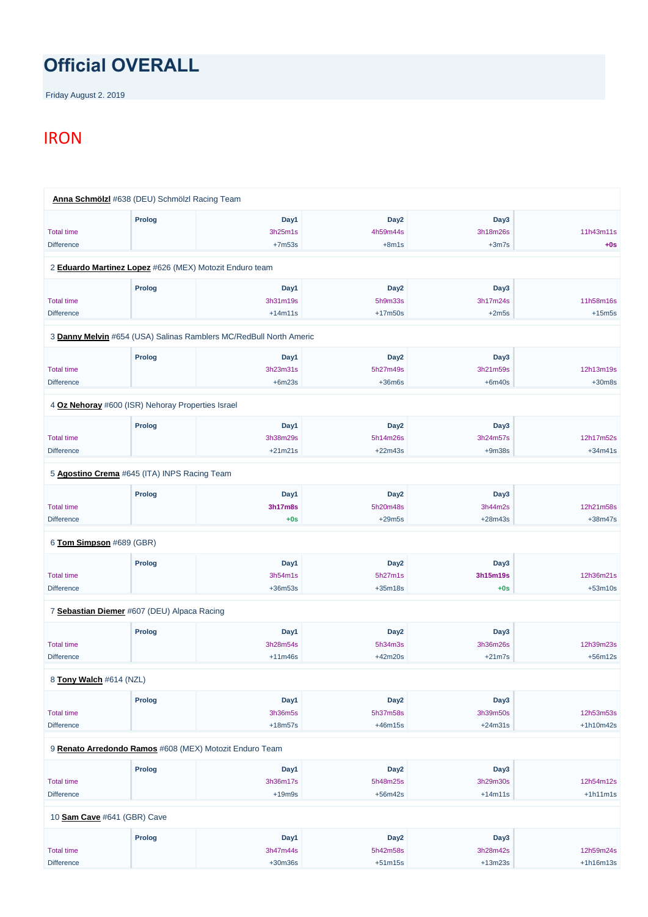## **Official OVERALL**

Friday August 2. 2019

## **IRON**

|                          | Anna Schmölzl #638 (DEU) Schmölzl Racing Team                      |                |                  |           |           |
|--------------------------|--------------------------------------------------------------------|----------------|------------------|-----------|-----------|
|                          | <b>Prolog</b>                                                      | Day1           | Day <sub>2</sub> | Day3      |           |
| <b>Total time</b>        |                                                                    | 3h25m1s        | 4h59m44s         | 3h18m26s  | 11h43m11s |
| <b>Difference</b>        |                                                                    | $+7m53s$       | $+8m1s$          | $+3m7s$   | $+0s$     |
|                          | 2 Eduardo Martinez Lopez #626 (MEX) Motozit Enduro team            |                |                  |           |           |
|                          | <b>Prolog</b>                                                      | Day1           | Day <sub>2</sub> | Day3      |           |
| <b>Total time</b>        |                                                                    | 3h31m19s       | 5h9m33s          | 3h17m24s  | 11h58m16s |
| <b>Difference</b>        |                                                                    | $+14m11s$      | $+17m50s$        | $+2m5s$   | $+15m5s$  |
|                          | 3 Danny Melvin #654 (USA) Salinas Ramblers MC/RedBull North Americ |                |                  |           |           |
|                          | Prolog                                                             | Day1           | Day <sub>2</sub> | Day3      |           |
| <b>Total time</b>        |                                                                    | 3h23m31s       | 5h27m49s         | 3h21m59s  | 12h13m19s |
| <b>Difference</b>        |                                                                    | $+6m23s$       | $+36m6s$         | $+6m40s$  | $+30m8s$  |
|                          | 4 Oz Nehoray #600 (ISR) Nehoray Properties Israel                  |                |                  |           |           |
|                          | <b>Prolog</b>                                                      | Day1           | Day <sub>2</sub> | Day3      |           |
| <b>Total time</b>        |                                                                    | 3h38m29s       | 5h14m26s         | 3h24m57s  | 12h17m52s |
| <b>Difference</b>        |                                                                    | $+21m21s$      | $+22m43s$        | $+9m38s$  | $+34m41s$ |
|                          | 5 Agostino Crema #645 (ITA) INPS Racing Team                       |                |                  |           |           |
|                          | Prolog                                                             | Day1           | Day <sub>2</sub> | Day3      |           |
| <b>Total time</b>        |                                                                    | <b>3h17m8s</b> | 5h20m48s         | 3h44m2s   | 12h21m58s |
| <b>Difference</b>        |                                                                    | $+0s$          | $+29m5s$         | $+28m43s$ | $+38m47s$ |
| 6 Tom Simpson #689 (GBR) |                                                                    |                |                  |           |           |
|                          | <b>Prolog</b>                                                      | Day1           | Day <sub>2</sub> | Day3      |           |
| <b>Total time</b>        |                                                                    | 3h54m1s        | 5h27m1s          | 3h15m19s  | 12h36m21s |
| <b>Difference</b>        |                                                                    | $+36m53s$      | $+35m18s$        | $+0s$     | $+53m10s$ |
|                          | 7 Sebastian Diemer #607 (DEU) Alpaca Racing                        |                |                  |           |           |
|                          | <b>Prolog</b>                                                      | Day1           | Day <sub>2</sub> | Day3      |           |
| <b>Total time</b>        |                                                                    | 3h28m54s       | 5h34m3s          | 3h36m26s  | 12h39m23s |
| <b>Difference</b>        |                                                                    | $+11m46s$      | $+42m20s$        | $+21m7s$  | $+56m12s$ |
|                          |                                                                    |                |                  |           |           |

8 **[Tony Walch](https://www.redbullromaniacs.com/for-competitors/profile/?e=rbr2019&b=614)** #614 (NZL)

|                   | Prolog                                                  | Day1      | Day <sub>2</sub> | Day3      |             |  |  |  |  |
|-------------------|---------------------------------------------------------|-----------|------------------|-----------|-------------|--|--|--|--|
| <b>Total time</b> |                                                         | 3h36m5s   | 5h37m58s         | 3h39m50s  | 12h53m53s   |  |  |  |  |
| <b>Difference</b> |                                                         | $+18m57s$ | $+46m15s$        | $+24m31s$ | $+1h10m42s$ |  |  |  |  |
|                   | 9 Renato Arredondo Ramos #608 (MEX) Motozit Enduro Team |           |                  |           |             |  |  |  |  |
|                   | <b>Prolog</b>                                           | Day1      | Day <sub>2</sub> | Day3      |             |  |  |  |  |
| <b>Total time</b> |                                                         | 3h36m17s  | 5h48m25s         | 3h29m30s  | 12h54m12s   |  |  |  |  |
| <b>Difference</b> |                                                         | $+19m9s$  | $+56m42s$        | $+14m11s$ | $+1h11m1s$  |  |  |  |  |
|                   | 10 Sam Cave #641 (GBR) Cave                             |           |                  |           |             |  |  |  |  |
|                   | Prolog                                                  | Day1      | Day <sub>2</sub> | Day3      |             |  |  |  |  |
| <b>Total time</b> |                                                         | 3h47m44s  | 5h42m58s         | 3h28m42s  | 12h59m24s   |  |  |  |  |
| <b>Difference</b> |                                                         | $+30m36s$ | $+51m15s$        | $+13m23s$ | $+1h16m13s$ |  |  |  |  |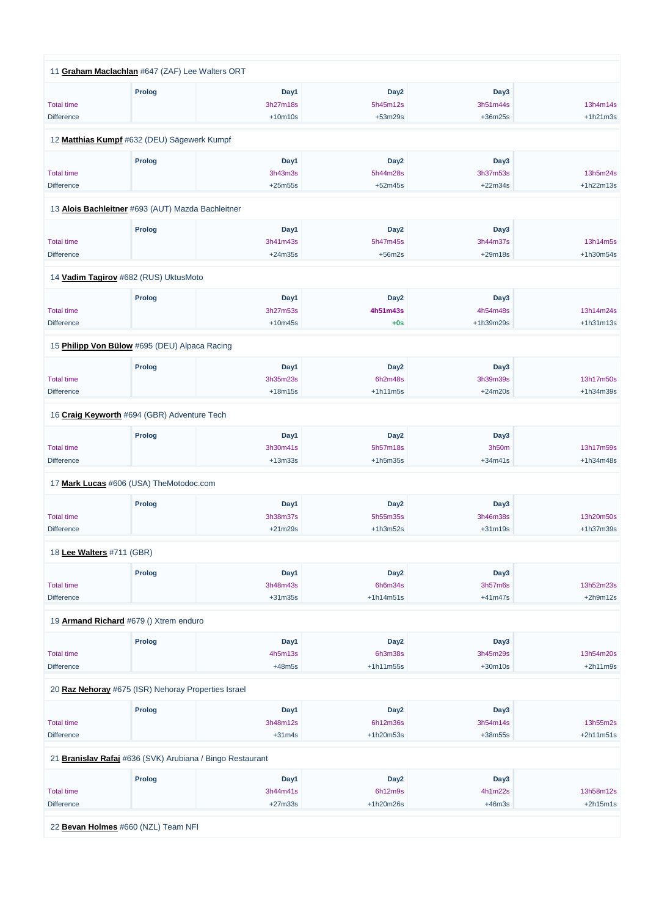|                           | 11 Graham Maclachlan #647 (ZAF) Lee Walters ORT   |           |                  |                  |             |
|---------------------------|---------------------------------------------------|-----------|------------------|------------------|-------------|
|                           |                                                   |           |                  |                  |             |
|                           | <b>Prolog</b>                                     | Day1      | Day <sub>2</sub> | Day <sub>3</sub> |             |
| <b>Total time</b>         |                                                   | 3h27m18s  | 5h45m12s         | 3h51m44s         | 13h4m14s    |
| <b>Difference</b>         |                                                   | $+10m10s$ | $+53m29s$        | $+36m25s$        | $+1h21m3s$  |
|                           |                                                   |           |                  |                  |             |
|                           | 12 Matthias Kumpf #632 (DEU) Sägewerk Kumpf       |           |                  |                  |             |
|                           | <b>Prolog</b>                                     | Day1      | Day <sub>2</sub> | Day3             |             |
| <b>Total time</b>         |                                                   | 3h43m3s   | 5h44m28s         | 3h37m53s         | 13h5m24s    |
| <b>Difference</b>         |                                                   | $+25m55s$ | $+52m45s$        | $+22m34s$        | $+1h22m13s$ |
|                           |                                                   |           |                  |                  |             |
|                           | 13 Alois Bachleitner #693 (AUT) Mazda Bachleitner |           |                  |                  |             |
|                           | <b>Prolog</b>                                     | Day1      | Day <sub>2</sub> | Day3             |             |
| <b>Total time</b>         |                                                   | 3h41m43s  | 5h47m45s         | 3h44m37s         | 13h14m5s    |
| <b>Difference</b>         |                                                   | $+24m35s$ | $+56m2s$         | $+29m18s$        | +1h30m54s   |
|                           |                                                   |           |                  |                  |             |
|                           | 14 Vadim Tagirov #682 (RUS) UktusMoto             |           |                  |                  |             |
|                           | <b>Prolog</b>                                     | Day1      | Day <sub>2</sub> | Day3             |             |
| <b>Total time</b>         |                                                   | 3h27m53s  | 4h51m43s         | 4h54m48s         | 13h14m24s   |
| <b>Difference</b>         |                                                   | $+10m45s$ | $+0s$            | +1h39m29s        | $+1h31m13s$ |
|                           |                                                   |           |                  |                  |             |
|                           | 15 Philipp Von Bülow #695 (DEU) Alpaca Racing     |           |                  |                  |             |
|                           | <b>Prolog</b>                                     | Day1      | Day <sub>2</sub> | Day3             |             |
| <b>Total time</b>         |                                                   | 3h35m23s  | 6h2m48s          | 3h39m39s         | 13h17m50s   |
| <b>Difference</b>         |                                                   | $+18m15s$ | $+1h11m5s$       | $+24m20s$        | +1h34m39s   |
|                           |                                                   |           |                  |                  |             |
|                           | 16 Craig Keyworth #694 (GBR) Adventure Tech       |           |                  |                  |             |
|                           | <b>Prolog</b>                                     | Day1      | Day <sub>2</sub> | Day3             |             |
| <b>Total time</b>         |                                                   | 3h30m41s  | 5h57m18s         | 3h50m            | 13h17m59s   |
| <b>Difference</b>         |                                                   | $+13m33s$ | $+1h5m35s$       | $+34m41s$        | +1h34m48s   |
|                           |                                                   |           |                  |                  |             |
|                           | 17 Mark Lucas #606 (USA) TheMotodoc.com           |           |                  |                  |             |
|                           | <b>Prolog</b>                                     | Day1      | Day <sub>2</sub> | Day3             |             |
| <b>Total time</b>         |                                                   | 3h38m37s  | 5h55m35s         | 3h46m38s         | 13h20m50s   |
| <b>Difference</b>         |                                                   | $+21m29s$ | $+1h3m52s$       | $+31m19s$        | +1h37m39s   |
|                           |                                                   |           |                  |                  |             |
| 18 Lee Walters #711 (GBR) |                                                   |           |                  |                  |             |
|                           | <b>Prolog</b>                                     | Day1      | Day <sub>2</sub> | Day3             |             |
| <b>Total time</b>         |                                                   | 3h48m43s  | 6h6m34s          | 3h57m6s          | 13h52m23s   |
| <b>Difference</b>         |                                                   | $+31m35s$ | $+1h14m51s$      | $+41m47s$        | $+2h9m12s$  |
|                           |                                                   |           |                  |                  |             |
|                           | 19 <b>Armand Richard</b> #679 () Xtrem enduro     |           |                  |                  |             |
|                           | <b>Prolog</b>                                     | Day1      | Day <sub>2</sub> | Day3             |             |
| <b>Total time</b>         |                                                   | 4h5m13s   | 6h3m38s          | 3h45m29s         | 13h54m20s   |
| <b>Difference</b>         |                                                   | $+48m5s$  | $+1h11m55s$      | $+30m10s$        | $+2h11m9s$  |
|                           |                                                   |           |                  |                  |             |

20 **[Raz Nehoray](https://www.redbullromaniacs.com/for-competitors/profile/?e=rbr2019&b=675)** #675 (ISR) Nehoray Properties Israel

| <u>20 Rue Nonoray</u> More (fort) Honoray Propontiou for aor |               |                                                           |                  |           |             |  |  |
|--------------------------------------------------------------|---------------|-----------------------------------------------------------|------------------|-----------|-------------|--|--|
|                                                              | <b>Prolog</b> | Day1                                                      | Day <sub>2</sub> | Day3      |             |  |  |
| <b>Total time</b>                                            |               | 3h48m12s                                                  | 6h12m36s         | 3h54m14s  | 13h55m2s    |  |  |
| <b>Difference</b>                                            |               | $+31m4s$                                                  | $+1h20m53s$      | $+38m55s$ | $+2h11m51s$ |  |  |
|                                                              |               |                                                           |                  |           |             |  |  |
|                                                              |               | 21 Branislav Rafaj #636 (SVK) Arubiana / Bingo Restaurant |                  |           |             |  |  |
|                                                              | <b>Prolog</b> | Day1                                                      | Day2             | Day3      |             |  |  |
| <b>Total time</b>                                            |               | 3h44m41s                                                  | 6h12m9s          | 4h1m22s   | 13h58m12s   |  |  |
| <b>Difference</b>                                            |               | $+27m33s$                                                 | $+1h20m26s$      | $+46m3s$  | $+2h15m1s$  |  |  |
|                                                              |               |                                                           |                  |           |             |  |  |
| 22 Bevan Holmes #660 (NZL) Team NFI                          |               |                                                           |                  |           |             |  |  |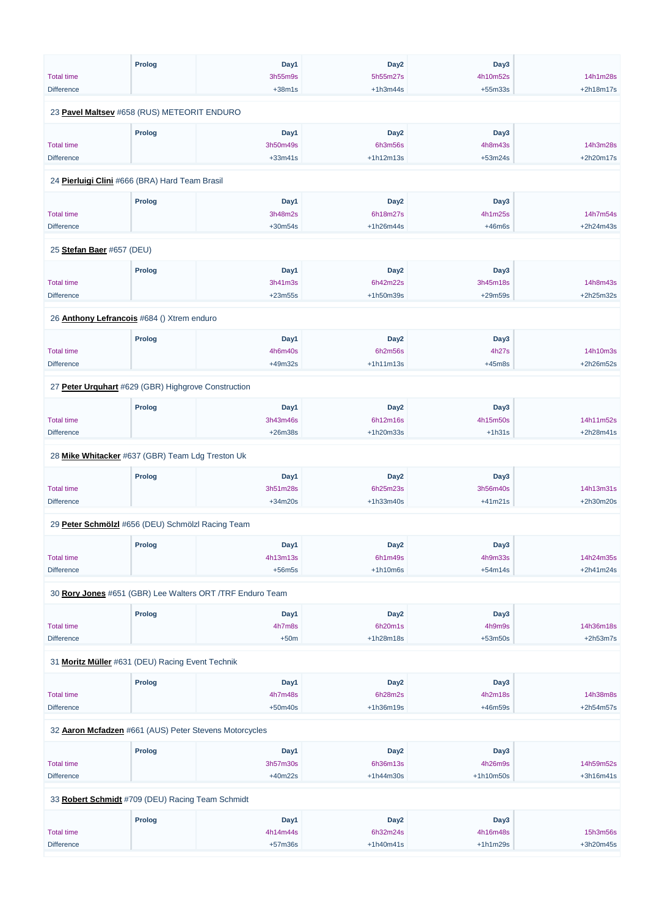|                                                     | <b>Prolog</b> | Day1                                                      | Day <sub>2</sub> | Day3      |            |
|-----------------------------------------------------|---------------|-----------------------------------------------------------|------------------|-----------|------------|
| <b>Total time</b>                                   |               | 3h55m9s                                                   | 5h55m27s         | 4h10m52s  | 14h1m28s   |
| <b>Difference</b>                                   |               | $+38m1s$                                                  | $+1h3m44s$       | $+55m33s$ | +2h18m17s  |
| 23 Pavel Maltsev #658 (RUS) METEORIT ENDURO         |               |                                                           |                  |           |            |
|                                                     | <b>Prolog</b> | Day1                                                      | Day <sub>2</sub> | Day3      |            |
| <b>Total time</b>                                   |               | 3h50m49s                                                  | 6h3m56s          | 4h8m43s   | 14h3m28s   |
| <b>Difference</b>                                   |               | $+33m41s$                                                 | $+1h12m13s$      | $+53m24s$ | +2h20m17s  |
|                                                     |               |                                                           |                  |           |            |
| 24 Pierluigi Clini #666 (BRA) Hard Team Brasil      |               |                                                           |                  |           |            |
|                                                     | <b>Prolog</b> | Day1                                                      | Day <sub>2</sub> | Day3      |            |
| <b>Total time</b>                                   |               | 3h48m2s                                                   | 6h18m27s         | 4h1m25s   | 14h7m54s   |
| <b>Difference</b>                                   |               | $+30m54s$                                                 | $+1h26m44s$      | $+46m6s$  | +2h24m43s  |
| 25 Stefan Baer #657 (DEU)                           |               |                                                           |                  |           |            |
|                                                     |               |                                                           |                  |           |            |
|                                                     | <b>Prolog</b> | Day1                                                      | Day <sub>2</sub> | Day3      |            |
| <b>Total time</b>                                   |               | 3h41m3s                                                   | 6h42m22s         | 3h45m18s  | 14h8m43s   |
| <b>Difference</b>                                   |               | $+23m55s$                                                 | +1h50m39s        | $+29m59s$ | +2h25m32s  |
| 26 Anthony Lefrancois #684 () Xtrem enduro          |               |                                                           |                  |           |            |
|                                                     | <b>Prolog</b> | Day1                                                      | Day <sub>2</sub> | Day3      |            |
| <b>Total time</b>                                   |               | 4h6m40s                                                   | 6h2m56s          | 4h27s     | 14h10m3s   |
| <b>Difference</b>                                   |               | +49m32s                                                   | $+1h11m13s$      | $+45m8s$  | +2h26m52s  |
|                                                     |               |                                                           |                  |           |            |
| 27 Peter Urquhart #629 (GBR) Highgrove Construction |               |                                                           |                  |           |            |
|                                                     | <b>Prolog</b> | Day1                                                      | Day <sub>2</sub> | Day3      |            |
| <b>Total time</b>                                   |               | 3h43m46s                                                  | 6h12m16s         | 4h15m50s  | 14h11m52s  |
| <b>Difference</b>                                   |               | $+26m38s$                                                 | +1h20m33s        | $+1h31s$  | +2h28m41s  |
| 28 Mike Whitacker #637 (GBR) Team Ldg Treston Uk    |               |                                                           |                  |           |            |
|                                                     | <b>Prolog</b> | Day1                                                      | Day <sub>2</sub> | Day3      |            |
| <b>Total time</b>                                   |               | 3h51m28s                                                  | 6h25m23s         | 3h56m40s  | 14h13m31s  |
| <b>Difference</b>                                   |               | $+34m20s$                                                 | $+1h33m40s$      | $+41m21s$ | +2h30m20s  |
|                                                     |               |                                                           |                  |           |            |
| 29 Peter Schmölzl #656 (DEU) Schmölzl Racing Team   |               |                                                           |                  |           |            |
|                                                     | <b>Prolog</b> | Day1                                                      | Day <sub>2</sub> | Day3      |            |
| <b>Total time</b>                                   |               | 4h13m13s                                                  | 6h1m49s          | 4h9m33s   | 14h24m35s  |
| <b>Difference</b>                                   |               | $+56m5s$                                                  | $+1h10m6s$       | $+54m14s$ | +2h41m24s  |
|                                                     |               | 30 Rory Jones #651 (GBR) Lee Walters ORT /TRF Enduro Team |                  |           |            |
|                                                     | <b>Prolog</b> | Day1                                                      | Day <sub>2</sub> | Day3      |            |
| <b>Total time</b>                                   |               | 4h7m8s                                                    | 6h20m1s          | 4h9m9s    | 14h36m18s  |
| <b>Difference</b>                                   |               | $+50m$                                                    | $+1h28m18s$      | $+53m50s$ | $+2h53m7s$ |
|                                                     |               |                                                           |                  |           |            |
| 31 Moritz Müller #631 (DEU) Racing Event Technik    |               |                                                           |                  |           |            |

| <b>Prolog</b>                                          | Day1      | Day <sub>2</sub> | Day3        |             |  |  |  |  |
|--------------------------------------------------------|-----------|------------------|-------------|-------------|--|--|--|--|
|                                                        | 4h7m48s   | 6h28m2s          | 4h2m18s     | 14h38m8s    |  |  |  |  |
|                                                        | $+50m40s$ | $+1h36m19s$      | +46m59s     | $+2h54m57s$ |  |  |  |  |
| 32 Aaron Mcfadzen #661 (AUS) Peter Stevens Motorcycles |           |                  |             |             |  |  |  |  |
| <b>Prolog</b>                                          | Day1      | Day <sub>2</sub> | Day3        |             |  |  |  |  |
|                                                        | 3h57m30s  | 6h36m13s         | 4h26m9s     | 14h59m52s   |  |  |  |  |
|                                                        | $+40m22s$ | $+1h44m30s$      | $+1h10m50s$ | $+3h16m41s$ |  |  |  |  |
| 33 Robert Schmidt #709 (DEU) Racing Team Schmidt       |           |                  |             |             |  |  |  |  |
| <b>Prolog</b>                                          | Day1      | Day <sub>2</sub> | Day3        |             |  |  |  |  |
|                                                        | 4h14m44s  | 6h32m24s         | 4h16m48s    | 15h3m56s    |  |  |  |  |
|                                                        | $+57m36s$ | $+1h40m41s$      | $+1h1m29s$  | +3h20m45s   |  |  |  |  |
|                                                        |           |                  |             |             |  |  |  |  |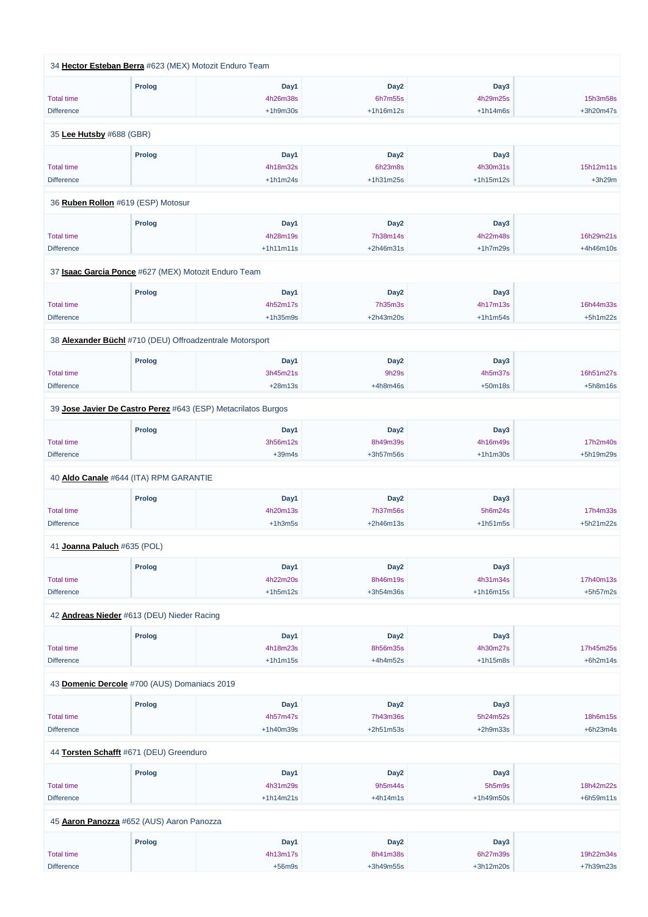|                             | 34 Hector Esteban Berra #623 (MEX) Motozit Enduro Team        |             |                  |             |            |
|-----------------------------|---------------------------------------------------------------|-------------|------------------|-------------|------------|
|                             | <b>Prolog</b>                                                 | Day1        | Day <sub>2</sub> | Day3        |            |
| <b>Total time</b>           |                                                               | 4h26m38s    | 6h7m55s          | 4h29m25s    | 15h3m58s   |
| <b>Difference</b>           |                                                               | $+1h9m30s$  | $+1h16m12s$      | $+1h14m6s$  | +3h20m47s  |
| 35 Lee Hutsby #688 (GBR)    |                                                               |             |                  |             |            |
|                             | <b>Prolog</b>                                                 | Day1        | Day <sub>2</sub> | Day3        |            |
| <b>Total time</b>           |                                                               | 4h18m32s    | 6h23m8s          | 4h30m31s    | 15h12m11s  |
| <b>Difference</b>           |                                                               | $+1h1m24s$  | $+1h31m25s$      | $+1h15m12s$ | $+3h29m$   |
|                             | 36 Ruben Rollon #619 (ESP) Motosur                            |             |                  |             |            |
|                             | <b>Prolog</b>                                                 | Day1        | Day <sub>2</sub> | Day3        |            |
| <b>Total time</b>           |                                                               | 4h28m19s    | 7h38m14s         | 4h22m48s    | 16h29m21s  |
| <b>Difference</b>           |                                                               | $+1h11m11s$ | $+2h46m31s$      | $+1h7m29s$  | +4h46m10s  |
|                             | 37 Isaac Garcia Ponce #627 (MEX) Motozit Enduro Team          |             |                  |             |            |
|                             | <b>Prolog</b>                                                 | Day1        | Day <sub>2</sub> | Day3        |            |
| <b>Total time</b>           |                                                               | 4h52m17s    | 7h35m3s          | 4h17m13s    | 16h44m33s  |
| <b>Difference</b>           |                                                               | $+1h35m9s$  | +2h43m20s        | $+1h1m54s$  | $+5h1m22s$ |
|                             | 38 Alexander Büchl #710 (DEU) Offroadzentrale Motorsport      |             |                  |             |            |
|                             | <b>Prolog</b>                                                 | Day1        | Day <sub>2</sub> | Day3        |            |
| <b>Total time</b>           |                                                               | 3h45m21s    | 9h29s            | 4h5m37s     | 16h51m27s  |
| <b>Difference</b>           |                                                               | $+28m13s$   | $+4h8m46s$       | $+50m18s$   | $+5h8m16s$ |
|                             | 39 Jose Javier De Castro Perez #643 (ESP) Metacrilatos Burgos |             |                  |             |            |
|                             | <b>Prolog</b>                                                 | Day1        | Day <sub>2</sub> | Day3        |            |
| <b>Total time</b>           |                                                               | 3h56m12s    | 8h49m39s         | 4h16m49s    | 17h2m40s   |
| <b>Difference</b>           |                                                               | $+39m4s$    | +3h57m56s        | $+1h1m30s$  | +5h19m29s  |
|                             | 40 Aldo Canale #644 (ITA) RPM GARANTIE                        |             |                  |             |            |
|                             | <b>Prolog</b>                                                 | Day1        | Day <sub>2</sub> | Day3        |            |
| <b>Total time</b>           |                                                               | 4h20m13s    | 7h37m56s         | 5h6m24s     | 17h4m33s   |
| <b>Difference</b>           |                                                               | $+1h3m5s$   | +2h46m13s        | $+1h51m5s$  | +5h21m22s  |
| 41 Joanna Paluch #635 (POL) |                                                               |             |                  |             |            |
|                             | <b>Prolog</b>                                                 | Day1        | Day <sub>2</sub> | Day3        |            |
| <b>Total time</b>           |                                                               | 4h22m20s    | 8h46m19s         | 4h31m34s    | 17h40m13s  |
| <b>Difference</b>           |                                                               | $+1h5m12s$  | +3h54m36s        | $+1h16m15s$ | $+5h57m2s$ |
|                             | 42 Andreas Nieder #613 (DEU) Nieder Racing                    |             |                  |             |            |
|                             | <b>Prolog</b>                                                 | Day1        | Day <sub>2</sub> | Day3        |            |
| <b>Total time</b>           |                                                               | 4h18m23s    | 8h56m35s         | 4h30m27s    | 17h45m25s  |
| <b>Difference</b>           |                                                               | $+1h1m15s$  | $+4h4m52s$       | $+1h15m8s$  | $+6h2m14s$ |
|                             |                                                               |             |                  |             |            |

43 **[Domenic Dercole](https://www.redbullromaniacs.com/for-competitors/profile/?e=rbr2019&b=700)** #700 (AUS) Domaniacs 2019

|                                           | <b>Prolog</b> | Day1        | Day <sub>2</sub> | Day3        |             |  |  |  |
|-------------------------------------------|---------------|-------------|------------------|-------------|-------------|--|--|--|
| <b>Total time</b>                         |               | 4h57m47s    | 7h43m36s         | 5h24m52s    | 18h6m15s    |  |  |  |
| <b>Difference</b>                         |               | $+1h40m39s$ | $+2h51m53s$      | $+2h9m33s$  | $+6h23m4s$  |  |  |  |
| 44 Torsten Schafft #671 (DEU) Greenduro   |               |             |                  |             |             |  |  |  |
|                                           | <b>Prolog</b> | Day1        | Day <sub>2</sub> | Day3        |             |  |  |  |
| <b>Total time</b>                         |               | 4h31m29s    | 9h5m44s          | 5h5m9s      | 18h42m22s   |  |  |  |
| <b>Difference</b>                         |               | $+1h14m21s$ | $+4h14m1s$       | $+1h49m50s$ | $+6h59m11s$ |  |  |  |
| 45 Aaron Panozza #652 (AUS) Aaron Panozza |               |             |                  |             |             |  |  |  |
|                                           | <b>Prolog</b> | Day1        | Day <sub>2</sub> | Day3        |             |  |  |  |
| <b>Total time</b>                         |               | 4h13m17s    | 8h41m38s         | 6h27m39s    | 19h22m34s   |  |  |  |
| <b>Difference</b>                         |               | $+56m9s$    | $+3h49m55s$      | $+3h12m20s$ | +7h39m23s   |  |  |  |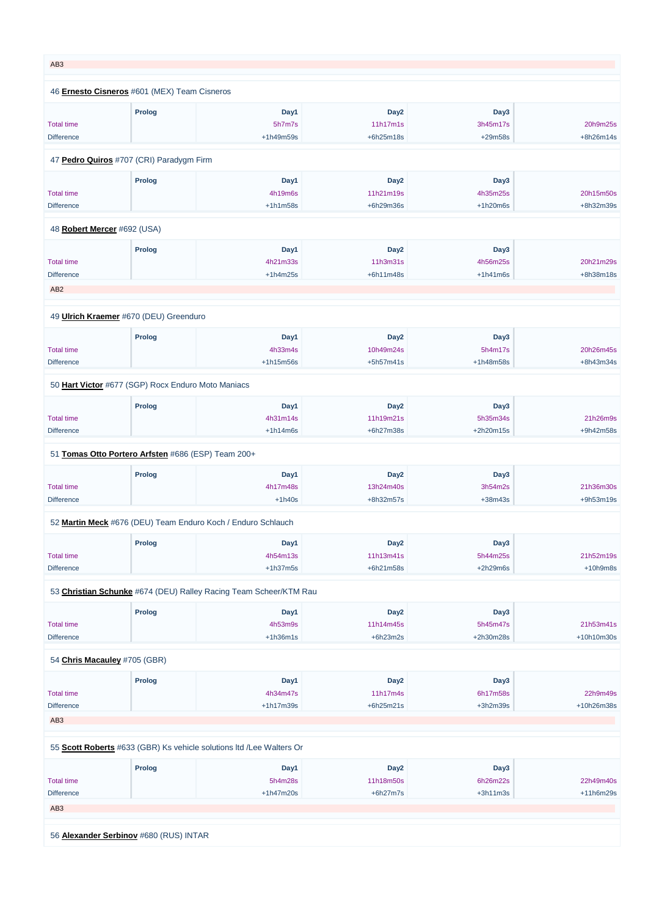| AB <sub>3</sub>                                           |               |                                                                   |                                             |                                 |                         |
|-----------------------------------------------------------|---------------|-------------------------------------------------------------------|---------------------------------------------|---------------------------------|-------------------------|
| 46 Ernesto Cisneros #601 (MEX) Team Cisneros              |               |                                                                   |                                             |                                 |                         |
| <b>Total time</b><br><b>Difference</b>                    | <b>Prolog</b> | Day1<br>5h7m7s<br>+1h49m59s                                       | Day <sub>2</sub><br>11h17m1s<br>+6h25m18s   | Day3<br>3h45m17s<br>+29m58s     | 20h9m25s<br>+8h26m14s   |
| 47 Pedro Quiros #707 (CRI) Paradygm Firm                  |               |                                                                   |                                             |                                 |                         |
| <b>Total time</b><br><b>Difference</b>                    | <b>Prolog</b> | Day1<br>4h19m6s<br>$+1h1m58s$                                     | Day <sub>2</sub><br>11h21m19s<br>+6h29m36s  | Day3<br>4h35m25s<br>$+1h20m6s$  | 20h15m50s<br>+8h32m39s  |
| 48 Robert Mercer #692 (USA)                               |               |                                                                   |                                             |                                 |                         |
| <b>Total time</b><br><b>Difference</b><br>AB <sub>2</sub> | <b>Prolog</b> | Day1<br>4h21m33s<br>$+1h4m25s$                                    | Day <sub>2</sub><br>11h3m31s<br>+6h11m48s   | Day3<br>4h56m25s<br>$+1h41m6s$  | 20h21m29s<br>+8h38m18s  |
|                                                           |               |                                                                   |                                             |                                 |                         |
| 49 Ulrich Kraemer #670 (DEU) Greenduro                    |               |                                                                   |                                             |                                 |                         |
| <b>Total time</b><br><b>Difference</b>                    | <b>Prolog</b> | Day1<br>4h33m4s<br>$+1h15m56s$                                    | Day <sub>2</sub><br>10h49m24s<br>+5h57m41s  | Day3<br>5h4m17s<br>+1h48m58s    | 20h26m45s<br>+8h43m34s  |
| 50 Hart Victor #677 (SGP) Rocx Enduro Moto Maniacs        |               |                                                                   |                                             |                                 |                         |
| <b>Total time</b><br><b>Difference</b>                    | <b>Prolog</b> | Day1<br>4h31m14s<br>$+1h14m6s$                                    | Day <sub>2</sub><br>11h19m21s<br>+6h27m38s  | Day3<br>5h35m34s<br>$+2h20m15s$ | 21h26m9s<br>+9h42m58s   |
| 51 Tomas Otto Portero Arfsten #686 (ESP) Team 200+        |               |                                                                   |                                             |                                 |                         |
| <b>Total time</b><br><b>Difference</b>                    | <b>Prolog</b> | Day1<br>4h17m48s<br>$+1h40s$                                      | Day <sub>2</sub><br>13h24m40s<br>+8h32m57s  | Day3<br>3h54m2s<br>$+38m43s$    | 21h36m30s<br>+9h53m19s  |
|                                                           |               | 52 Martin Meck #676 (DEU) Team Enduro Koch / Enduro Schlauch      |                                             |                                 |                         |
| <b>Total time</b><br><b>Difference</b>                    | <b>Prolog</b> | Day1<br>4h54m13s<br>$+1h37m5s$                                    | Day <sub>2</sub><br>11h13m41s<br>+6h21m58s  | Day3<br>5h44m25s<br>$+2h29m6s$  | 21h52m19s<br>$+10h9m8s$ |
|                                                           |               | 53 Christian Schunke #674 (DEU) Ralley Racing Team Scheer/KTM Rau |                                             |                                 |                         |
| <b>Total time</b><br><b>Difference</b>                    | <b>Prolog</b> | Day1<br>4h53m9s<br>$+1h36m1s$                                     | Day <sub>2</sub><br>11h14m45s<br>$+6h23m2s$ | Day3<br>5h45m47s<br>+2h30m28s   | 21h53m41s<br>+10h10m30s |
| 54 Chris Macauley #705 (GBR)                              |               |                                                                   |                                             |                                 |                         |
|                                                           | <b>Prolog</b> | Day1                                                              | Day <sub>2</sub>                            | Day3                            |                         |

| <b>Total time</b> |                                        | 4h34m47s                                                             | 11h17m4s         | 6h17m58s   | 22h9m49s    |  |  |  |
|-------------------|----------------------------------------|----------------------------------------------------------------------|------------------|------------|-------------|--|--|--|
| <b>Difference</b> |                                        | $+1h17m39s$                                                          | $+6h25m21s$      | $+3h2m39s$ | +10h26m38s  |  |  |  |
| AB <sub>3</sub>   |                                        |                                                                      |                  |            |             |  |  |  |
|                   |                                        |                                                                      |                  |            |             |  |  |  |
|                   |                                        |                                                                      |                  |            |             |  |  |  |
|                   |                                        | 55 Scott Roberts #633 (GBR) Ks vehicle solutions Itd /Lee Walters Or |                  |            |             |  |  |  |
|                   | <b>Prolog</b>                          | Day1                                                                 | Day <sub>2</sub> | Day3       |             |  |  |  |
| <b>Total time</b> |                                        | 5h4m28s                                                              | 11h18m50s        | 6h26m22s   | 22h49m40s   |  |  |  |
| <b>Difference</b> |                                        | $+1h47m20s$                                                          | $+6h27m7s$       | $+3h11m3s$ | $+11h6m29s$ |  |  |  |
| AB <sub>3</sub>   |                                        |                                                                      |                  |            |             |  |  |  |
|                   |                                        |                                                                      |                  |            |             |  |  |  |
|                   |                                        |                                                                      |                  |            |             |  |  |  |
|                   | 56 Alexander Serbinov #680 (RUS) INTAR |                                                                      |                  |            |             |  |  |  |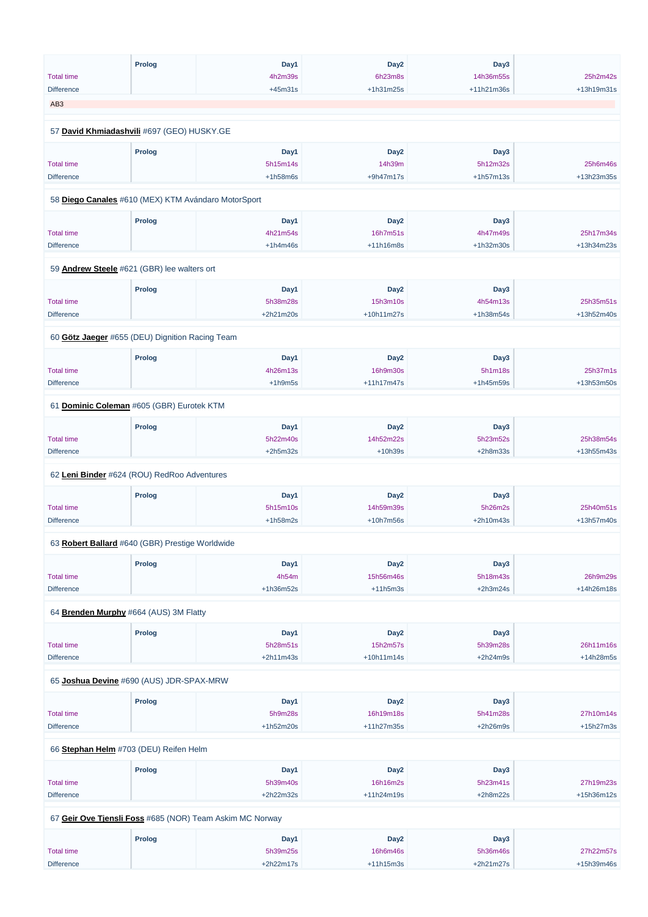|                   | <b>Prolog</b>                                       | Day1             | Day <sub>2</sub>             | Day3             |            |
|-------------------|-----------------------------------------------------|------------------|------------------------------|------------------|------------|
| <b>Total time</b> |                                                     | 4h2m39s          | 6h23m8s                      | 14h36m55s        | 25h2m42s   |
| <b>Difference</b> |                                                     | $+45m31s$        | +1h31m25s                    | +11h21m36s       | +13h19m31s |
| AB <sub>3</sub>   |                                                     |                  |                              |                  |            |
|                   |                                                     |                  |                              |                  |            |
|                   | 57 David Khmiadashvili #697 (GEO) HUSKY.GE          |                  |                              |                  |            |
|                   | <b>Prolog</b>                                       | Day1             | Day <sub>2</sub>             | Day3             |            |
| <b>Total time</b> |                                                     | 5h15m14s         | 14h39m                       | 5h12m32s         | 25h6m46s   |
| <b>Difference</b> |                                                     | $+1h58m6s$       | $+9h47m17s$                  | $+1h57m13s$      | +13h23m35s |
|                   | 58 Diego Canales #610 (MEX) KTM Avándaro MotorSport |                  |                              |                  |            |
|                   | <b>Prolog</b>                                       | Day1             | Day <sub>2</sub>             | Day3             |            |
| <b>Total time</b> |                                                     | 4h21m54s         | 16h7m51s                     | 4h47m49s         | 25h17m34s  |
| <b>Difference</b> |                                                     | $+1h4m46s$       | $+11h16m8s$                  | +1h32m30s        | +13h34m23s |
|                   |                                                     |                  |                              |                  |            |
|                   | 59 Andrew Steele #621 (GBR) lee walters ort         |                  |                              |                  |            |
|                   | <b>Prolog</b>                                       | Day1             | Day <sub>2</sub>             | Day3             |            |
| <b>Total time</b> |                                                     | 5h38m28s         | 15h3m10s                     | 4h54m13s         | 25h35m51s  |
| <b>Difference</b> |                                                     | +2h21m20s        | +10h11m27s                   | +1h38m54s        | +13h52m40s |
|                   | 60 Götz Jaeger #655 (DEU) Dignition Racing Team     |                  |                              |                  |            |
|                   | <b>Prolog</b>                                       | Day1             | Day <sub>2</sub>             | Day3             |            |
| <b>Total time</b> |                                                     | 4h26m13s         | 16h9m30s                     | 5h1m18s          | 25h37m1s   |
| <b>Difference</b> |                                                     | $+1h9m5s$        | +11h17m47s                   | +1h45m59s        | +13h53m50s |
|                   |                                                     |                  |                              |                  |            |
|                   | 61 Dominic Coleman #605 (GBR) Eurotek KTM           |                  |                              |                  |            |
|                   | <b>Prolog</b>                                       | Day1             | Day <sub>2</sub>             | Day3             |            |
| <b>Total time</b> |                                                     | 5h22m40s         | 14h52m22s                    | 5h23m52s         | 25h38m54s  |
| <b>Difference</b> |                                                     | $+2h5m32s$       | $+10h39s$                    | $+2h8m33s$       | +13h55m43s |
|                   | 62 Leni Binder #624 (ROU) RedRoo Adventures         |                  |                              |                  |            |
|                   | <b>Prolog</b>                                       | Day1             | Day <sub>2</sub>             | Day3             |            |
| <b>Total time</b> |                                                     | 5h15m10s         | 14h59m39s                    | 5h26m2s          | 25h40m51s  |
| <b>Difference</b> |                                                     | $+1h58m2s$       | +10h7m56s                    | +2h10m43s        | +13h57m40s |
|                   |                                                     |                  |                              |                  |            |
|                   | 63 Robert Ballard #640 (GBR) Prestige Worldwide     |                  |                              |                  |            |
|                   | <b>Prolog</b>                                       | Day1             | Day <sub>2</sub>             | Day3             |            |
| <b>Total time</b> |                                                     | 4h54m            | 15h56m46s                    | 5h18m43s         | 26h9m29s   |
| <b>Difference</b> |                                                     | +1h36m52s        | $+11h5m3s$                   | $+2h3m24s$       | +14h26m18s |
|                   | 64 Brenden Murphy #664 (AUS) 3M Flatty              |                  |                              |                  |            |
|                   |                                                     |                  |                              |                  |            |
| <b>Total time</b> | <b>Prolog</b>                                       | Day1<br>5h28m51s | Day <sub>2</sub><br>15h2m57s | Day3<br>5h39m28s | 26h11m16s  |
|                   |                                                     | $+2h11m43s$      | $+10h11m14s$                 | $+2h24m9s$       | +14h28m5s  |
| <b>Difference</b> |                                                     |                  |                              |                  |            |
|                   |                                                     |                  |                              |                  |            |

65 **[Joshua Devine](https://www.redbullromaniacs.com/for-competitors/profile/?e=rbr2019&b=690)** #690 (AUS) JDR-SPAX-MRW

|                                                          | Prolog | Day1        | Day <sub>2</sub> | Day3        |             |  |  |  |
|----------------------------------------------------------|--------|-------------|------------------|-------------|-------------|--|--|--|
| <b>Total time</b>                                        |        | 5h9m28s     | 16h19m18s        | 5h41m28s    | 27h10m14s   |  |  |  |
| <b>Difference</b>                                        |        | $+1h52m20s$ | $+11h27m35s$     | $+2h26m9s$  | $+15h27m3s$ |  |  |  |
| 66 Stephan Helm #703 (DEU) Reifen Helm                   |        |             |                  |             |             |  |  |  |
|                                                          | Prolog | Day1        | Day <sub>2</sub> | Day3        |             |  |  |  |
| <b>Total time</b>                                        |        | 5h39m40s    | 16h16m2s         | 5h23m41s    | 27h19m23s   |  |  |  |
| <b>Difference</b>                                        |        | $+2h22m32s$ | $+11h24m19s$     | $+2h8m22s$  | +15h36m12s  |  |  |  |
| 67 Geir Ove Tjensli Foss #685 (NOR) Team Askim MC Norway |        |             |                  |             |             |  |  |  |
|                                                          | Prolog | Day1        | Day <sub>2</sub> | Day3        |             |  |  |  |
| <b>Total time</b>                                        |        | 5h39m25s    | 16h6m46s         | 5h36m46s    | 27h22m57s   |  |  |  |
| <b>Difference</b>                                        |        | $+2h22m17s$ | $+11h15m3s$      | $+2h21m27s$ | +15h39m46s  |  |  |  |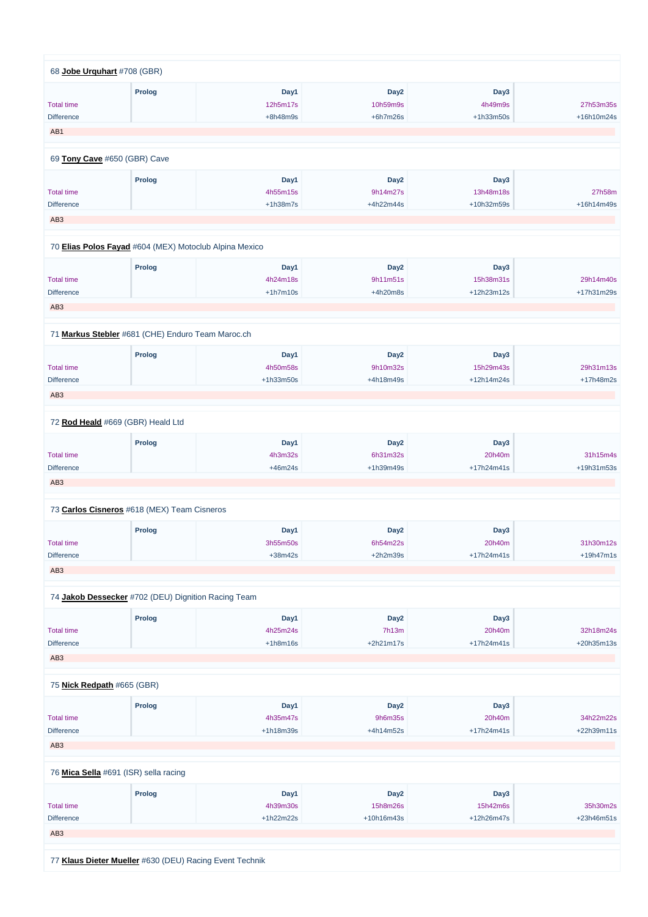| 68 Jobe Urguhart #708 (GBR)  |                                                        |             |                  |             |             |
|------------------------------|--------------------------------------------------------|-------------|------------------|-------------|-------------|
|                              | <b>Prolog</b>                                          | Day1        | Day <sub>2</sub> | Day3        |             |
| <b>Total time</b>            |                                                        | 12h5m17s    | 10h59m9s         | 4h49m9s     | 27h53m35s   |
| <b>Difference</b>            |                                                        | +8h48m9s    | $+6h7m26s$       | $+1h33m50s$ | +16h10m24s  |
| AB1                          |                                                        |             |                  |             |             |
|                              |                                                        |             |                  |             |             |
| 69 Tony Cave #650 (GBR) Cave |                                                        |             |                  |             |             |
|                              | <b>Prolog</b>                                          | Day1        | Day <sub>2</sub> | Day3        |             |
| <b>Total time</b>            |                                                        | 4h55m15s    | 9h14m27s         | 13h48m18s   | 27h58m      |
| <b>Difference</b>            |                                                        | $+1h38m7s$  | +4h22m44s        | +10h32m59s  | +16h14m49s  |
| AB <sub>3</sub>              |                                                        |             |                  |             |             |
|                              |                                                        |             |                  |             |             |
|                              | 70 Elias Polos Fayad #604 (MEX) Motoclub Alpina Mexico |             |                  |             |             |
|                              | <b>Prolog</b>                                          | Day1        | Day <sub>2</sub> | Day3        |             |
| <b>Total time</b>            |                                                        | 4h24m18s    | 9h11m51s         | 15h38m31s   | 29h14m40s   |
| <b>Difference</b>            |                                                        | $+1h7m10s$  | +4h20m8s         | +12h23m12s  | +17h31m29s  |
| AB <sub>3</sub>              |                                                        |             |                  |             |             |
|                              |                                                        |             |                  |             |             |
|                              | 71 Markus Stebler #681 (CHE) Enduro Team Maroc.ch      |             |                  |             |             |
|                              | <b>Prolog</b>                                          | Day1        | Day <sub>2</sub> | Day3        |             |
| <b>Total time</b>            |                                                        | 4h50m58s    | 9h10m32s         | 15h29m43s   | 29h31m13s   |
| <b>Difference</b>            |                                                        | $+1h33m50s$ | +4h18m49s        | +12h14m24s  | +17h48m2s   |
| AB <sub>3</sub>              |                                                        |             |                  |             |             |
|                              |                                                        |             |                  |             |             |
|                              | 72 Rod Heald #669 (GBR) Heald Ltd                      |             |                  |             |             |
|                              | <b>Prolog</b>                                          | Day1        | Day <sub>2</sub> | Day3        |             |
| <b>Total time</b>            |                                                        | 4h3m32s     | 6h31m32s         | 20h40m      | 31h15m4s    |
| <b>Difference</b>            |                                                        | $+46m24s$   | +1h39m49s        | +17h24m41s  | +19h31m53s  |
| AB <sub>3</sub>              |                                                        |             |                  |             |             |
|                              | 73 Carlos Cisneros #618 (MEX) Team Cisneros            |             |                  |             |             |
|                              | <b>Prolog</b>                                          | Day1        | Day <sub>2</sub> | Day3        |             |
| <b>Total time</b>            |                                                        | 3h55m50s    | 6h54m22s         | 20h40m      | 31h30m12s   |
|                              |                                                        | $+38m42s$   | $+2h2m39s$       |             | $+19h47m1s$ |
| <b>Difference</b>            |                                                        |             |                  | +17h24m41s  |             |
| AB <sub>3</sub>              |                                                        |             |                  |             |             |
|                              | 74 Jakob Dessecker #702 (DEU) Dignition Racing Team    |             |                  |             |             |
|                              |                                                        |             |                  |             |             |
|                              | <b>Prolog</b>                                          | Day1        | Day <sub>2</sub> | Day3        |             |
| <b>Total time</b>            |                                                        | 4h25m24s    | 7h13m            | 20h40m      | 32h18m24s   |
| <b>Difference</b>            |                                                        | $+1h8m16s$  | $+2h21m17s$      | +17h24m41s  | +20h35m13s  |
| AB <sub>3</sub>              |                                                        |             |                  |             |             |
|                              |                                                        |             |                  |             |             |

75 **[Nick Redpath](https://www.redbullromaniacs.com/for-competitors/profile/?e=rbr2019&b=665)** #665 (GBR)

|                                                         | <b>Prolog</b> | Day1        | Day <sub>2</sub> | Day3         |            |
|---------------------------------------------------------|---------------|-------------|------------------|--------------|------------|
| <b>Total time</b>                                       |               | 4h35m47s    | 9h6m35s          | 20h40m       | 34h22m22s  |
| <b>Difference</b>                                       |               | $+1h18m39s$ | $+4h14m52s$      | $+17h24m41s$ | +22h39m11s |
| AB <sub>3</sub>                                         |               |             |                  |              |            |
|                                                         |               |             |                  |              |            |
| 76 Mica Sella #691 (ISR) sella racing                   |               |             |                  |              |            |
|                                                         | <b>Prolog</b> | Day1        | Day <sub>2</sub> | Day3         |            |
| <b>Total time</b>                                       |               | 4h39m30s    | 15h8m26s         | 15h42m6s     | 35h30m2s   |
| <b>Difference</b>                                       |               | $+1h22m22s$ | $+10h16m43s$     | +12h26m47s   | +23h46m51s |
| AB <sub>3</sub>                                         |               |             |                  |              |            |
|                                                         |               |             |                  |              |            |
| 77 Klaus Dieter Mueller #630 (DEU) Racing Event Technik |               |             |                  |              |            |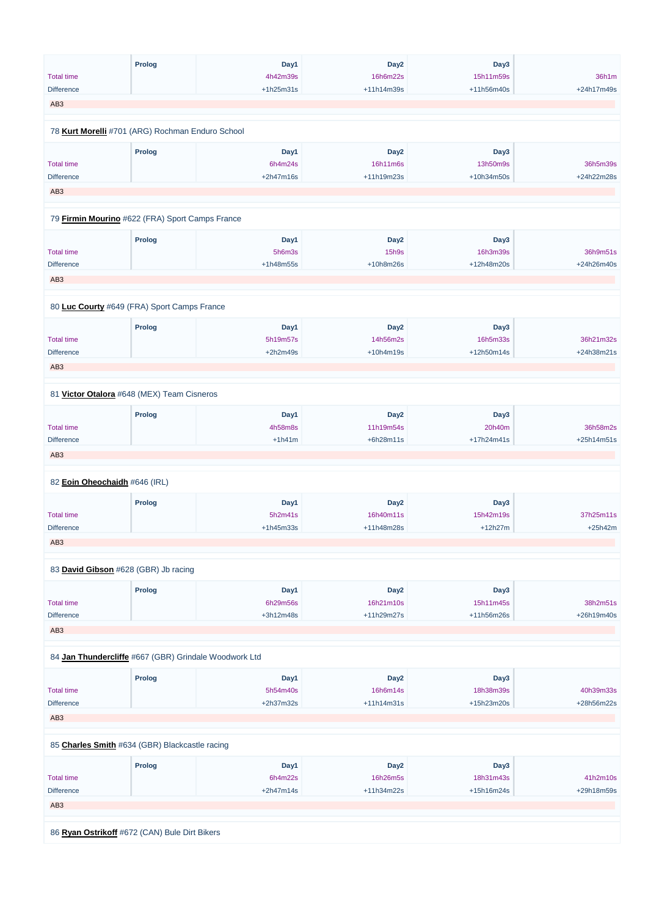| <b>Total time</b>             | <b>Prolog</b>                                         | Day1<br>4h42m39s | Day <sub>2</sub><br>16h6m22s | Day3<br>15h11m59s | 36h1m      |
|-------------------------------|-------------------------------------------------------|------------------|------------------------------|-------------------|------------|
| <b>Difference</b>             |                                                       | +1h25m31s        | +11h14m39s                   | +11h56m40s        | +24h17m49s |
| AB <sub>3</sub>               |                                                       |                  |                              |                   |            |
|                               |                                                       |                  |                              |                   |            |
|                               | 78 Kurt Morelli #701 (ARG) Rochman Enduro School      |                  |                              |                   |            |
|                               | <b>Prolog</b>                                         | Day1             | Day <sub>2</sub>             | Day3              |            |
| <b>Total time</b>             |                                                       | 6h4m24s          | 16h11m6s                     | 13h50m9s          | 36h5m39s   |
| <b>Difference</b>             |                                                       | +2h47m16s        | +11h19m23s                   | +10h34m50s        | +24h22m28s |
| AB <sub>3</sub>               |                                                       |                  |                              |                   |            |
|                               |                                                       |                  |                              |                   |            |
|                               | 79 Firmin Mourino #622 (FRA) Sport Camps France       |                  |                              |                   |            |
|                               | <b>Prolog</b>                                         | Day1             | Day <sub>2</sub>             | Day3              |            |
| <b>Total time</b>             |                                                       | 5h6m3s           | 15h9s                        | 16h3m39s          | 36h9m51s   |
| <b>Difference</b>             |                                                       | +1h48m55s        | +10h8m26s                    | +12h48m20s        | +24h26m40s |
| AB <sub>3</sub>               |                                                       |                  |                              |                   |            |
|                               |                                                       |                  |                              |                   |            |
|                               | 80 Luc Courty #649 (FRA) Sport Camps France           |                  |                              |                   |            |
|                               |                                                       |                  |                              |                   |            |
|                               | <b>Prolog</b>                                         | Day1             | Day <sub>2</sub>             | Day3              |            |
| <b>Total time</b>             |                                                       | 5h19m57s         | 14h56m2s                     | 16h5m33s          | 36h21m32s  |
| Difference                    |                                                       | $+2h2m49s$       | +10h4m19s                    | +12h50m14s        | +24h38m21s |
| AB <sub>3</sub>               |                                                       |                  |                              |                   |            |
|                               |                                                       |                  |                              |                   |            |
|                               | 81 Victor Otalora #648 (MEX) Team Cisneros            |                  |                              |                   |            |
|                               | <b>Prolog</b>                                         | Day1             | Day <sub>2</sub>             | Day3              |            |
| <b>Total time</b>             |                                                       | 4h58m8s          | 11h19m54s                    | 20h40m            | 36h58m2s   |
| <b>Difference</b>             |                                                       | $+1h41m$         | +6h28m11s                    | +17h24m41s        | +25h14m51s |
| AB <sub>3</sub>               |                                                       |                  |                              |                   |            |
|                               |                                                       |                  |                              |                   |            |
| 82 Eoin Oheochaidh #646 (IRL) |                                                       |                  |                              |                   |            |
|                               | <b>Prolog</b>                                         | Day1             | Day <sub>2</sub>             | Day3              |            |
| <b>Total time</b>             |                                                       | 5h2m41s          | 16h40m11s                    | 15h42m19s         | 37h25m11s  |
| <b>Difference</b>             |                                                       | +1h45m33s        | +11h48m28s                   | $+12h27m$         | +25h42m    |
| AB <sub>3</sub>               |                                                       |                  |                              |                   |            |
|                               | 83 David Gibson #628 (GBR) Jb racing                  |                  |                              |                   |            |
|                               |                                                       |                  |                              |                   |            |
|                               | <b>Prolog</b>                                         | Day1             | Day <sub>2</sub>             | Day3              |            |
| <b>Total time</b>             |                                                       | 6h29m56s         | 16h21m10s                    | 15h11m45s         | 38h2m51s   |
| <b>Difference</b>             |                                                       | +3h12m48s        | +11h29m27s                   | +11h56m26s        | +26h19m40s |
| AB <sub>3</sub>               |                                                       |                  |                              |                   |            |
|                               |                                                       |                  |                              |                   |            |
|                               | 84 Jan Thundercliffe #667 (GBR) Grindale Woodwork Ltd |                  |                              |                   |            |
|                               | <b>Prolog</b>                                         | Day1             | Day <sub>2</sub>             | Day3              |            |
|                               |                                                       |                  |                              |                   |            |

| <b>Total time</b>                              |               | 5h54m40s    | 16h6m14s         | 18h38m39s  | 40h39m33s  |
|------------------------------------------------|---------------|-------------|------------------|------------|------------|
| <b>Difference</b>                              |               | $+2h37m32s$ | $+11h14m31s$     | +15h23m20s | +28h56m22s |
| AB <sub>3</sub>                                |               |             |                  |            |            |
| 85 Charles Smith #634 (GBR) Blackcastle racing |               |             |                  |            |            |
|                                                | <b>Prolog</b> | Day1        | Day <sub>2</sub> | Day3       |            |
| <b>Total time</b>                              |               | 6h4m22s     | 16h26m5s         | 18h31m43s  | 41h2m10s   |
| <b>Difference</b>                              |               | $+2h47m14s$ | +11h34m22s       | +15h16m24s | +29h18m59s |
| AB <sub>3</sub>                                |               |             |                  |            |            |
|                                                |               |             |                  |            |            |
| 86 Ryan Ostrikoff #672 (CAN) Bule Dirt Bikers  |               |             |                  |            |            |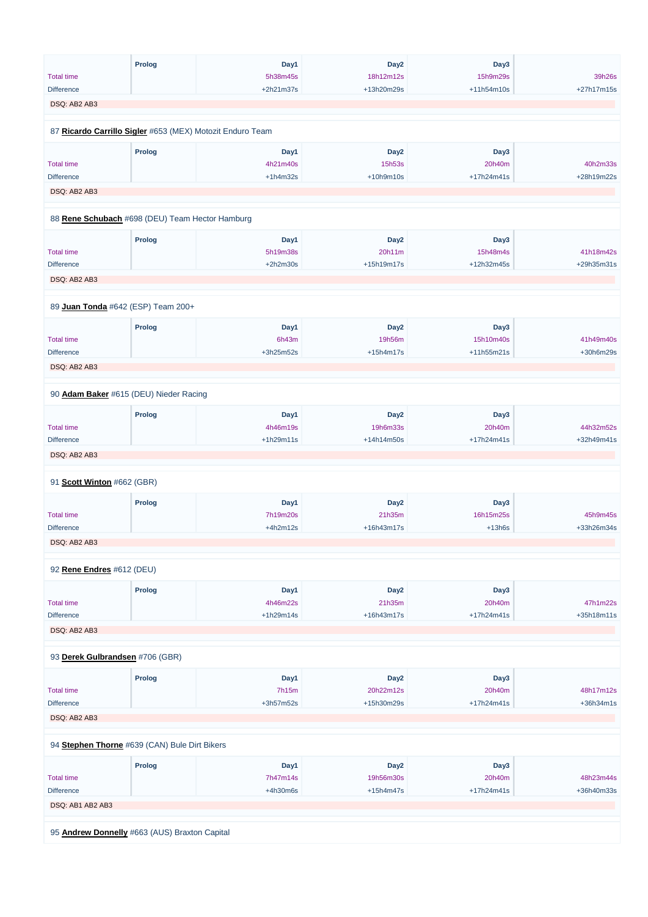|                            | <b>Prolog</b>                                             | Day1        | Day <sub>2</sub> | Day3       |            |
|----------------------------|-----------------------------------------------------------|-------------|------------------|------------|------------|
| <b>Total time</b>          |                                                           | 5h38m45s    | 18h12m12s        | 15h9m29s   | 39h26s     |
| <b>Difference</b>          |                                                           | +2h21m37s   | +13h20m29s       | +11h54m10s | +27h17m15s |
| DSQ: AB2 AB3               |                                                           |             |                  |            |            |
|                            |                                                           |             |                  |            |            |
|                            | 87 Ricardo Carrillo Sigler #653 (MEX) Motozit Enduro Team |             |                  |            |            |
|                            | <b>Prolog</b>                                             | Day1        | Day <sub>2</sub> | Day3       |            |
| <b>Total time</b>          |                                                           | 4h21m40s    | 15h53s           | 20h40m     | 40h2m33s   |
| <b>Difference</b>          |                                                           | $+1h4m32s$  | $+10h9m10s$      | +17h24m41s | +28h19m22s |
| DSQ: AB2 AB3               |                                                           |             |                  |            |            |
|                            |                                                           |             |                  |            |            |
|                            | 88 Rene Schubach #698 (DEU) Team Hector Hamburg           |             |                  |            |            |
|                            | <b>Prolog</b>                                             | Day1        | Day <sub>2</sub> | Day3       |            |
| <b>Total time</b>          |                                                           | 5h19m38s    | 20h11m           | 15h48m4s   | 41h18m42s  |
| <b>Difference</b>          |                                                           | $+2h2m30s$  | +15h19m17s       | +12h32m45s | +29h35m31s |
| DSQ: AB2 AB3               |                                                           |             |                  |            |            |
|                            |                                                           |             |                  |            |            |
|                            | 89 Juan Tonda #642 (ESP) Team 200+                        |             |                  |            |            |
|                            | <b>Prolog</b>                                             | Day1        | Day <sub>2</sub> | Day3       |            |
| <b>Total time</b>          |                                                           | 6h43m       | 19h56m           | 15h10m40s  | 41h49m40s  |
| <b>Difference</b>          |                                                           | $+3h25m52s$ | $+15h4m17s$      | +11h55m21s | +30h6m29s  |
| DSQ: AB2 AB3               |                                                           |             |                  |            |            |
|                            |                                                           |             |                  |            |            |
|                            | 90 Adam Baker #615 (DEU) Nieder Racing                    |             |                  |            |            |
|                            | <b>Prolog</b>                                             | Day1        | Day <sub>2</sub> | Day3       |            |
| <b>Total time</b>          |                                                           | 4h46m19s    | 19h6m33s         | 20h40m     | 44h32m52s  |
| <b>Difference</b>          |                                                           | $+1h29m11s$ | +14h14m50s       | +17h24m41s | +32h49m41s |
| DSQ: AB2 AB3               |                                                           |             |                  |            |            |
| 91 Scott Winton #662 (GBR) |                                                           |             |                  |            |            |
|                            |                                                           |             |                  |            |            |
|                            | <b>Prolog</b>                                             | Day1        | Day <sub>2</sub> | Day3       |            |
| <b>Total time</b>          |                                                           | 7h19m20s    | 21h35m           | 16h15m25s  | 45h9m45s   |
| <b>Difference</b>          |                                                           | $+4h2m12s$  | +16h43m17s       | $+13h6s$   | +33h26m34s |
| DSQ: AB2 AB3               |                                                           |             |                  |            |            |
| 92 Rene Endres #612 (DEU)  |                                                           |             |                  |            |            |
|                            | <b>Prolog</b>                                             | Day1        | Day <sub>2</sub> | Day3       |            |
| <b>Total time</b>          |                                                           | 4h46m22s    | 21h35m           | 20h40m     | 47h1m22s   |
| <b>Difference</b>          |                                                           | $+1h29m14s$ | +16h43m17s       | +17h24m41s | +35h18m11s |
| DSQ: AB2 AB3               |                                                           |             |                  |            |            |
|                            |                                                           |             |                  |            |            |
|                            | 93 Derek Gulbrandsen #706 (GBR)                           |             |                  |            |            |
|                            | <b>Prolog</b>                                             | Day1        | Day <sub>2</sub> | Day3       |            |
| <b>Total time</b>          |                                                           | 7h15m       | 20h22m12s        | 20h40m     | 48h17m12s  |

| <b>Difference</b>                             |        | $+3h57m52s$ | +15h30m29s       | $+17h24m41s$ | $+36h34m1s$ |
|-----------------------------------------------|--------|-------------|------------------|--------------|-------------|
| DSQ: AB2 AB3                                  |        |             |                  |              |             |
| 94 Stephen Thorne #639 (CAN) Bule Dirt Bikers |        |             |                  |              |             |
|                                               | Prolog | Day1        | Day <sub>2</sub> | Day3         |             |
| <b>Total time</b>                             |        | 7h47m14s    | 19h56m30s        | 20h40m       | 48h23m44s   |
| <b>Difference</b>                             |        | $+4h30m6s$  | $+15h4m47s$      | $+17h24m41s$ | +36h40m33s  |
| DSQ: AB1 AB2 AB3                              |        |             |                  |              |             |
|                                               |        |             |                  |              |             |
| 95 Andrew Donnelly #663 (AUS) Braxton Capital |        |             |                  |              |             |